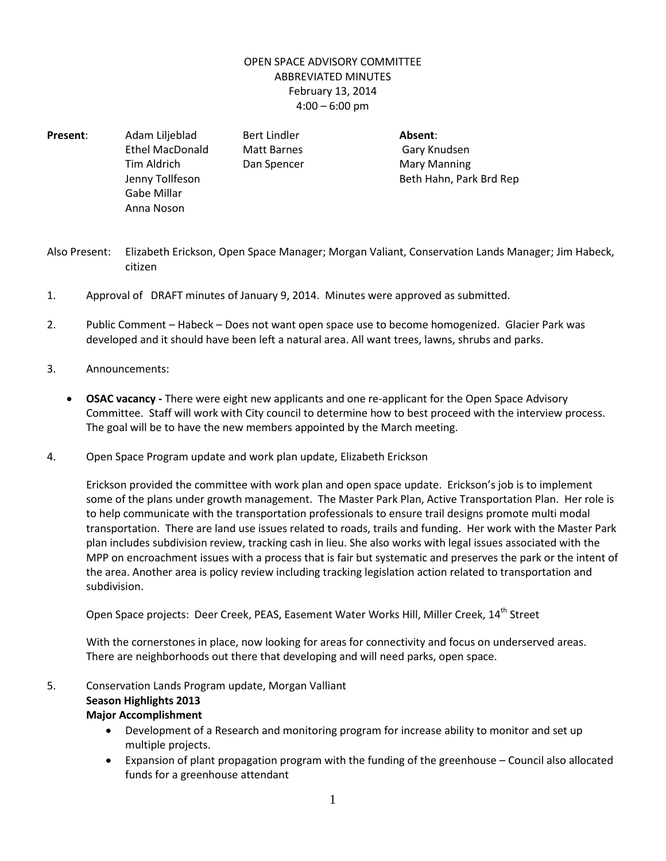## OPEN SPACE ADVISORY COMMITTEE ABBREVIATED MINUTES February 13, 2014  $4:00 - 6:00$  pm

- **Present**: Adam Liljeblad Bert Lindler **Absent**: Ethel MacDonald Matt Barnes Cary Knudsen Tim Aldrich **Dan Spencer** Mary Manning Jenny Tollfeson **Beth Hahn, Park Brd Rep** Gabe Millar Anna Noson
- Also Present: Elizabeth Erickson, Open Space Manager; Morgan Valiant, Conservation Lands Manager; Jim Habeck, citizen
- 1. Approval of DRAFT minutes of January 9, 2014. Minutes were approved as submitted.
- 2. Public Comment Habeck Does not want open space use to become homogenized. Glacier Park was developed and it should have been left a natural area. All want trees, lawns, shrubs and parks.
- 3. Announcements:
	- **OSAC vacancy** There were eight new applicants and one re-applicant for the Open Space Advisory Committee. Staff will work with City council to determine how to best proceed with the interview process. The goal will be to have the new members appointed by the March meeting.
- 4. Open Space Program update and work plan update, Elizabeth Erickson

Erickson provided the committee with work plan and open space update. Erickson's job is to implement some of the plans under growth management. The Master Park Plan, Active Transportation Plan. Her role is to help communicate with the transportation professionals to ensure trail designs promote multi modal transportation. There are land use issues related to roads, trails and funding. Her work with the Master Park plan includes subdivision review, tracking cash in lieu. She also works with legal issues associated with the MPP on encroachment issues with a process that is fair but systematic and preserves the park or the intent of the area. Another area is policy review including tracking legislation action related to transportation and subdivision.

Open Space projects: Deer Creek, PEAS, Easement Water Works Hill, Miller Creek, 14<sup>th</sup> Street

With the cornerstones in place, now looking for areas for connectivity and focus on underserved areas. There are neighborhoods out there that developing and will need parks, open space.

- 5. Conservation Lands Program update, Morgan Valliant **Season Highlights 2013 Major Accomplishment**
	- Development of a Research and monitoring program for increase ability to monitor and set up multiple projects.
	- Expansion of plant propagation program with the funding of the greenhouse Council also allocated funds for a greenhouse attendant